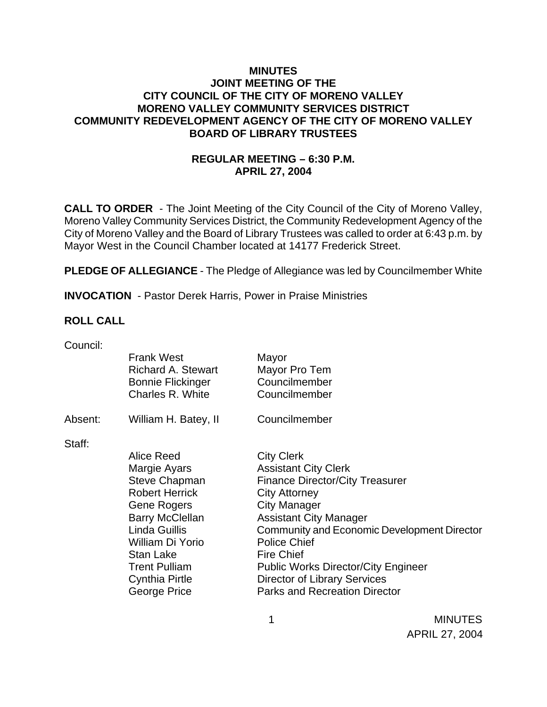### **MINUTES JOINT MEETING OF THE CITY COUNCIL OF THE CITY OF MORENO VALLEY MORENO VALLEY COMMUNITY SERVICES DISTRICT COMMUNITY REDEVELOPMENT AGENCY OF THE CITY OF MORENO VALLEY BOARD OF LIBRARY TRUSTEES**

# **REGULAR MEETING – 6:30 P.M. APRIL 27, 2004**

**CALL TO ORDER** - The Joint Meeting of the City Council of the City of Moreno Valley, Moreno Valley Community Services District, the Community Redevelopment Agency of the City of Moreno Valley and the Board of Library Trustees was called to order at 6:43 p.m. by Mayor West in the Council Chamber located at 14177 Frederick Street.

**PLEDGE OF ALLEGIANCE** - The Pledge of Allegiance was led by Councilmember White

**INVOCATION** - Pastor Derek Harris, Power in Praise Ministries

#### **ROLL CALL**

| <b>Frank West</b><br>Mayor<br><b>Richard A. Stewart</b><br>Mayor Pro Tem<br>Councilmember<br><b>Bonnie Flickinger</b><br>Charles R. White<br>Councilmember |  |
|------------------------------------------------------------------------------------------------------------------------------------------------------------|--|
|                                                                                                                                                            |  |
|                                                                                                                                                            |  |
| Councilmember<br>Absent:<br>William H. Batey, II                                                                                                           |  |
| Staff:                                                                                                                                                     |  |
| Alice Reed<br><b>City Clerk</b>                                                                                                                            |  |
| Margie Ayars<br><b>Assistant City Clerk</b>                                                                                                                |  |
| <b>Steve Chapman</b><br><b>Finance Director/City Treasurer</b>                                                                                             |  |
| <b>Robert Herrick</b><br><b>City Attorney</b>                                                                                                              |  |
| <b>City Manager</b><br>Gene Rogers                                                                                                                         |  |
| <b>Barry McClellan</b><br><b>Assistant City Manager</b>                                                                                                    |  |
| Linda Guillis<br>Community and Economic Development Director                                                                                               |  |
| <b>Police Chief</b><br>William Di Yorio                                                                                                                    |  |
| <b>Fire Chief</b><br>Stan Lake                                                                                                                             |  |
| <b>Trent Pulliam</b><br><b>Public Works Director/City Engineer</b>                                                                                         |  |
| <b>Cynthia Pirtle</b><br><b>Director of Library Services</b>                                                                                               |  |
| George Price<br><b>Parks and Recreation Director</b>                                                                                                       |  |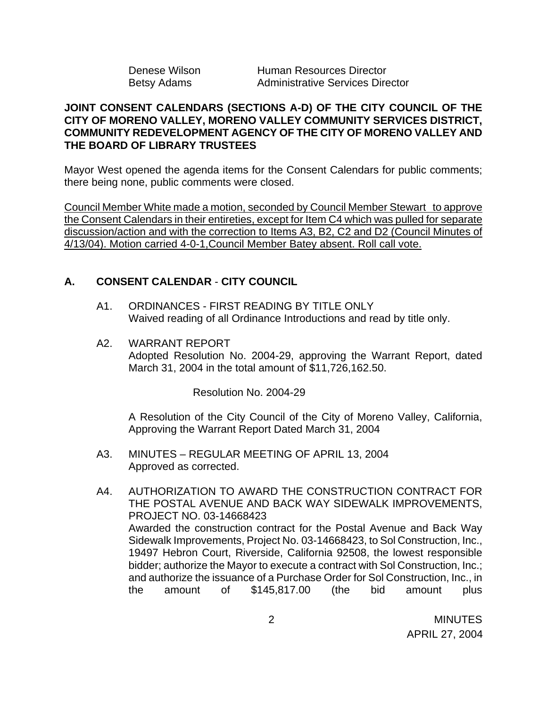| Denese Wilson | Human Resources Director                |
|---------------|-----------------------------------------|
| Betsy Adams   | <b>Administrative Services Director</b> |

### **JOINT CONSENT CALENDARS (SECTIONS A-D) OF THE CITY COUNCIL OF THE CITY OF MORENO VALLEY, MORENO VALLEY COMMUNITY SERVICES DISTRICT, COMMUNITY REDEVELOPMENT AGENCY OF THE CITY OF MORENO VALLEY AND THE BOARD OF LIBRARY TRUSTEES**

Mayor West opened the agenda items for the Consent Calendars for public comments; there being none, public comments were closed.

Council Member White made a motion, seconded by Council Member Stewart to approve the Consent Calendars in their entireties, except for Item C4 which was pulled for separate discussion/action and with the correction to Items A3, B2, C2 and D2 (Council Minutes of 4/13/04). Motion carried 4-0-1,Council Member Batey absent. Roll call vote.

# **A. CONSENT CALENDAR** - **CITY COUNCIL**

- A1. ORDINANCES FIRST READING BY TITLE ONLY Waived reading of all Ordinance Introductions and read by title only.
- A2. WARRANT REPORT Adopted Resolution No. 2004-29, approving the Warrant Report, dated March 31, 2004 in the total amount of \$11,726,162.50.

Resolution No. 2004-29

A Resolution of the City Council of the City of Moreno Valley, California, Approving the Warrant Report Dated March 31, 2004

- A3. MINUTES REGULAR MEETING OF APRIL 13, 2004 Approved as corrected.
- A4. AUTHORIZATION TO AWARD THE CONSTRUCTION CONTRACT FOR THE POSTAL AVENUE AND BACK WAY SIDEWALK IMPROVEMENTS, PROJECT NO. 03-14668423 Awarded the construction contract for the Postal Avenue and Back Way Sidewalk Improvements, Project No. 03-14668423, to Sol Construction, Inc., 19497 Hebron Court, Riverside, California 92508, the lowest responsible bidder; authorize the Mayor to execute a contract with Sol Construction, Inc.; and authorize the issuance of a Purchase Order for Sol Construction, Inc., in the amount of \$145,817.00 (the bid amount plus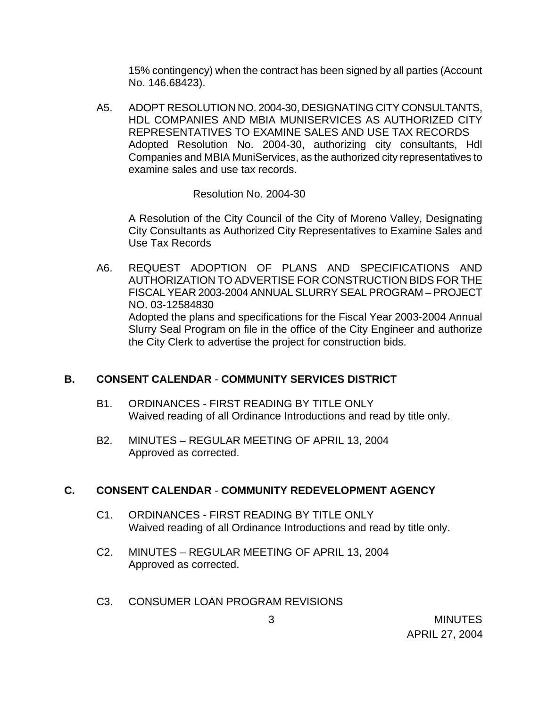15% contingency) when the contract has been signed by all parties (Account No. 146.68423).

A5. ADOPT RESOLUTION NO. 2004-30, DESIGNATING CITY CONSULTANTS, HDL COMPANIES AND MBIA MUNISERVICES AS AUTHORIZED CITY REPRESENTATIVES TO EXAMINE SALES AND USE TAX RECORDS Adopted Resolution No. 2004-30, authorizing city consultants, Hdl Companies and MBIA MuniServices, as the authorized city representatives to examine sales and use tax records.

Resolution No. 2004-30

A Resolution of the City Council of the City of Moreno Valley, Designating City Consultants as Authorized City Representatives to Examine Sales and Use Tax Records

A6. REQUEST ADOPTION OF PLANS AND SPECIFICATIONS AND AUTHORIZATION TO ADVERTISE FOR CONSTRUCTION BIDS FOR THE FISCAL YEAR 2003-2004 ANNUAL SLURRY SEAL PROGRAM – PROJECT NO. 03-12584830 Adopted the plans and specifications for the Fiscal Year 2003-2004 Annual Slurry Seal Program on file in the office of the City Engineer and authorize the City Clerk to advertise the project for construction bids.

# **B. CONSENT CALENDAR** - **COMMUNITY SERVICES DISTRICT**

- B1. ORDINANCES FIRST READING BY TITLE ONLY Waived reading of all Ordinance Introductions and read by title only.
- B2. MINUTES REGULAR MEETING OF APRIL 13, 2004 Approved as corrected.

# **C. CONSENT CALENDAR** - **COMMUNITY REDEVELOPMENT AGENCY**

- C1. ORDINANCES FIRST READING BY TITLE ONLY Waived reading of all Ordinance Introductions and read by title only.
- C2. MINUTES REGULAR MEETING OF APRIL 13, 2004 Approved as corrected.
- C3. CONSUMER LOAN PROGRAM REVISIONS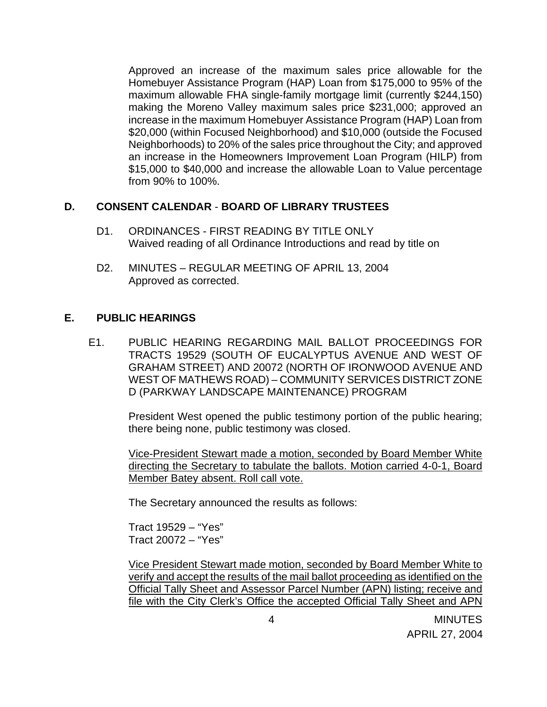Approved an increase of the maximum sales price allowable for the Homebuyer Assistance Program (HAP) Loan from \$175,000 to 95% of the maximum allowable FHA single-family mortgage limit (currently \$244,150) making the Moreno Valley maximum sales price \$231,000; approved an increase in the maximum Homebuyer Assistance Program (HAP) Loan from \$20,000 (within Focused Neighborhood) and \$10,000 (outside the Focused Neighborhoods) to 20% of the sales price throughout the City; and approved an increase in the Homeowners Improvement Loan Program (HILP) from \$15,000 to \$40,000 and increase the allowable Loan to Value percentage from 90% to 100%.

### **D. CONSENT CALENDAR** - **BOARD OF LIBRARY TRUSTEES**

- D1. ORDINANCES FIRST READING BY TITLE ONLY Waived reading of all Ordinance Introductions and read by title on
- D2. MINUTES REGULAR MEETING OF APRIL 13, 2004 Approved as corrected.

# **E. PUBLIC HEARINGS**

E1. PUBLIC HEARING REGARDING MAIL BALLOT PROCEEDINGS FOR TRACTS 19529 (SOUTH OF EUCALYPTUS AVENUE AND WEST OF GRAHAM STREET) AND 20072 (NORTH OF IRONWOOD AVENUE AND WEST OF MATHEWS ROAD) – COMMUNITY SERVICES DISTRICT ZONE D (PARKWAY LANDSCAPE MAINTENANCE) PROGRAM

> President West opened the public testimony portion of the public hearing; there being none, public testimony was closed.

> Vice-President Stewart made a motion, seconded by Board Member White directing the Secretary to tabulate the ballots. Motion carried 4-0-1, Board Member Batey absent. Roll call vote.

The Secretary announced the results as follows:

 Tract 19529 – "Yes" Tract 20072 – "Yes"

 Vice President Stewart made motion, seconded by Board Member White to verify and accept the results of the mail ballot proceeding as identified on the Official Tally Sheet and Assessor Parcel Number (APN) listing; receive and file with the City Clerk's Office the accepted Official Tally Sheet and APN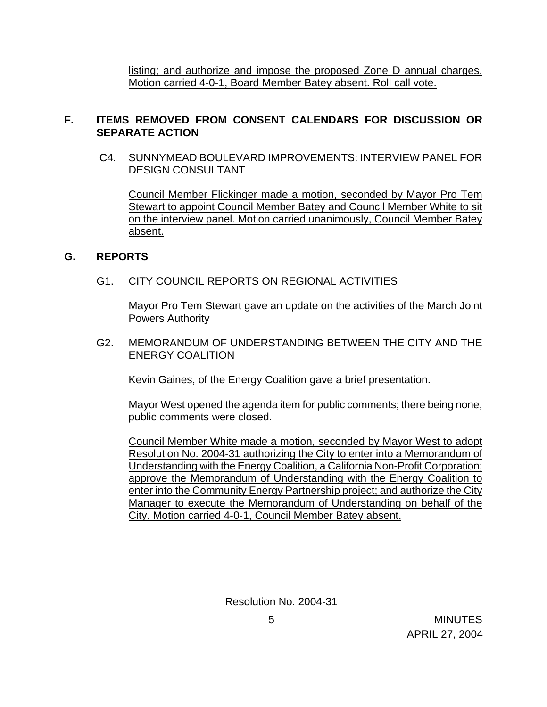listing; and authorize and impose the proposed Zone D annual charges. Motion carried 4-0-1, Board Member Batey absent. Roll call vote.

# **F. ITEMS REMOVED FROM CONSENT CALENDARS FOR DISCUSSION OR SEPARATE ACTION**

 C4. SUNNYMEAD BOULEVARD IMPROVEMENTS: INTERVIEW PANEL FOR DESIGN CONSULTANT

 Council Member Flickinger made a motion, seconded by Mayor Pro Tem Stewart to appoint Council Member Batey and Council Member White to sit on the interview panel. Motion carried unanimously, Council Member Batey absent.

### **G. REPORTS**

# G1. CITY COUNCIL REPORTS ON REGIONAL ACTIVITIES

Mayor Pro Tem Stewart gave an update on the activities of the March Joint Powers Authority

G2. MEMORANDUM OF UNDERSTANDING BETWEEN THE CITY AND THE ENERGY COALITION

Kevin Gaines, of the Energy Coalition gave a brief presentation.

Mayor West opened the agenda item for public comments; there being none, public comments were closed.

 Council Member White made a motion, seconded by Mayor West to adopt Resolution No. 2004-31 authorizing the City to enter into a Memorandum of Understanding with the Energy Coalition, a California Non-Profit Corporation; approve the Memorandum of Understanding with the Energy Coalition to enter into the Community Energy Partnership project; and authorize the City Manager to execute the Memorandum of Understanding on behalf of the City. Motion carried 4-0-1, Council Member Batey absent.

Resolution No. 2004-31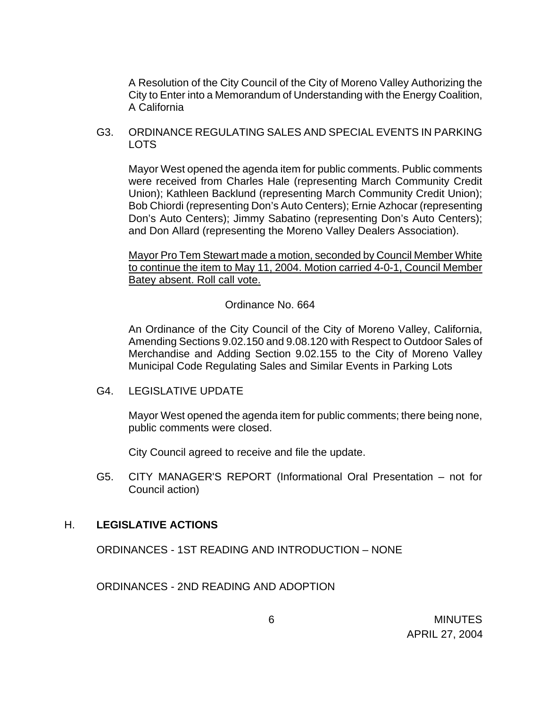A Resolution of the City Council of the City of Moreno Valley Authorizing the City to Enter into a Memorandum of Understanding with the Energy Coalition, A California

G3. ORDINANCE REGULATING SALES AND SPECIAL EVENTS IN PARKING LOTS

Mayor West opened the agenda item for public comments. Public comments were received from Charles Hale (representing March Community Credit Union); Kathleen Backlund (representing March Community Credit Union); Bob Chiordi (representing Don's Auto Centers); Ernie Azhocar (representing Don's Auto Centers); Jimmy Sabatino (representing Don's Auto Centers); and Don Allard (representing the Moreno Valley Dealers Association).

Mayor Pro Tem Stewart made a motion, seconded by Council Member White to continue the item to May 11, 2004. Motion carried 4-0-1, Council Member Batey absent. Roll call vote.

Ordinance No. 664

An Ordinance of the City Council of the City of Moreno Valley, California, Amending Sections 9.02.150 and 9.08.120 with Respect to Outdoor Sales of Merchandise and Adding Section 9.02.155 to the City of Moreno Valley Municipal Code Regulating Sales and Similar Events in Parking Lots

G4. LEGISLATIVE UPDATE

Mayor West opened the agenda item for public comments; there being none, public comments were closed.

City Council agreed to receive and file the update.

 G5. CITY MANAGER'S REPORT (Informational Oral Presentation – not for Council action)

### H. **LEGISLATIVE ACTIONS**

ORDINANCES - 1ST READING AND INTRODUCTION – NONE

ORDINANCES - 2ND READING AND ADOPTION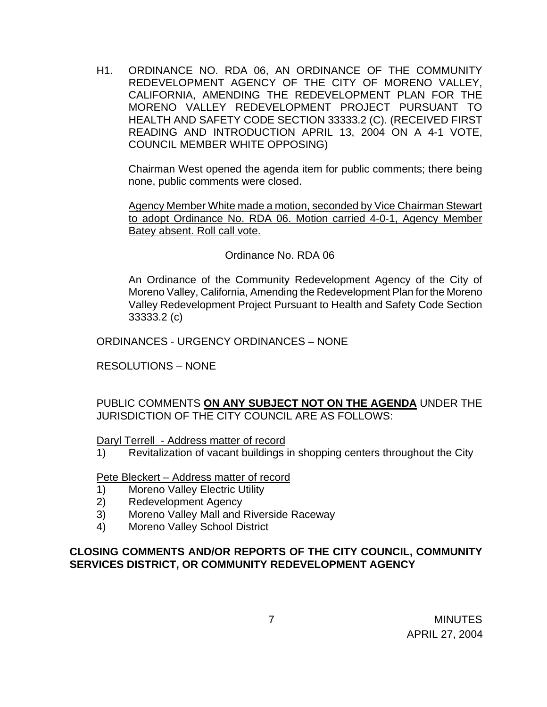H1. ORDINANCE NO. RDA 06, AN ORDINANCE OF THE COMMUNITY REDEVELOPMENT AGENCY OF THE CITY OF MORENO VALLEY, CALIFORNIA, AMENDING THE REDEVELOPMENT PLAN FOR THE MORENO VALLEY REDEVELOPMENT PROJECT PURSUANT TO HEALTH AND SAFETY CODE SECTION 33333.2 (C). (RECEIVED FIRST READING AND INTRODUCTION APRIL 13, 2004 ON A 4-1 VOTE, COUNCIL MEMBER WHITE OPPOSING)

Chairman West opened the agenda item for public comments; there being none, public comments were closed.

 Agency Member White made a motion, seconded by Vice Chairman Stewart to adopt Ordinance No. RDA 06. Motion carried 4-0-1, Agency Member Batey absent. Roll call vote.

### Ordinance No. RDA 06

An Ordinance of the Community Redevelopment Agency of the City of Moreno Valley, California, Amending the Redevelopment Plan for the Moreno Valley Redevelopment Project Pursuant to Health and Safety Code Section 33333.2 (c)

ORDINANCES - URGENCY ORDINANCES – NONE

RESOLUTIONS – NONE

PUBLIC COMMENTS **ON ANY SUBJECT NOT ON THE AGENDA** UNDER THE JURISDICTION OF THE CITY COUNCIL ARE AS FOLLOWS:

Daryl Terrell - Address matter of record

1) Revitalization of vacant buildings in shopping centers throughout the City

Pete Bleckert – Address matter of record

- 1) Moreno Valley Electric Utility
- 2) Redevelopment Agency
- 3) Moreno Valley Mall and Riverside Raceway
- 4) Moreno Valley School District

# **CLOSING COMMENTS AND/OR REPORTS OF THE CITY COUNCIL, COMMUNITY SERVICES DISTRICT, OR COMMUNITY REDEVELOPMENT AGENCY**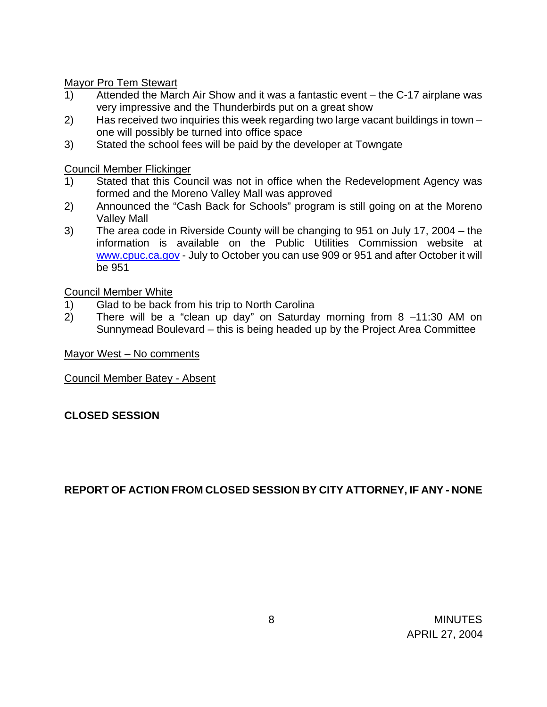Mayor Pro Tem Stewart

- 1) Attended the March Air Show and it was a fantastic event the C-17 airplane was very impressive and the Thunderbirds put on a great show
- 2) Has received two inquiries this week regarding two large vacant buildings in town one will possibly be turned into office space
- 3) Stated the school fees will be paid by the developer at Towngate

Council Member Flickinger

- 1) Stated that this Council was not in office when the Redevelopment Agency was formed and the Moreno Valley Mall was approved
- 2) Announced the "Cash Back for Schools" program is still going on at the Moreno Valley Mall
- 3) The area code in Riverside County will be changing to 951 on July 17, 2004 the information is available on the Public Utilities Commission website at www.cpuc.ca.gov - July to October you can use 909 or 951 and after October it will be 951

Council Member White

- 1) Glad to be back from his trip to North Carolina
- 2) There will be a "clean up day" on Saturday morning from 8 –11:30 AM on Sunnymead Boulevard – this is being headed up by the Project Area Committee

Mayor West – No comments

Council Member Batey - Absent

# **CLOSED SESSION**

# **REPORT OF ACTION FROM CLOSED SESSION BY CITY ATTORNEY, IF ANY - NONE**